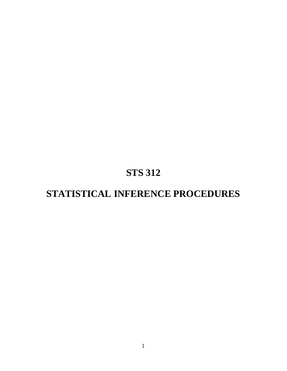# **STS 312**

# **STATISTICAL INFERENCE PROCEDURES**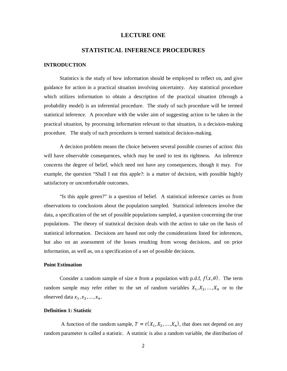#### **LECTURE ONE**

# **STATISTICAL INFERENCE PROCEDURES**

## **INTRODUCTION**

Statistics is the study of how information should be employed to reflect on, and give guidance for action in a practical situation involving uncertainty. Any statistical procedure which utilizes information to obtain a description of the practical situation (through a probability model) is an inferential procedure. The study of such procedure will be termed statistical inference. A procedure with the wider aim of suggesting action to be taken in the practical situation, by processing information relevant to that situation, is a decision-making procedure. The study of such procedures is termed statistical decision-making.

A decision problem means the choice between several possible courses of action: this will have observable consequences, which may be used to test its rightness. An inference concerns the degree of belief, which need not have any consequences, though it may. For example, the question "Shall I eat this apple?: is a matter of decision, with possible highly satisfactory or uncomfortable outcomes.

"Is this apple green?" is a question of belief. A statistical inference carries us from observations to conclusions about the population sampled. Statistical inferences involve the data, a specification of the set of possible populations sampled, a question concerning the true populations. The theory of statistical decision deals with the action to take on the basis of statistical information. Decisions are based not only the considerations listed for inferences, but also on an assessment of the losses resulting from wrong decisions, and on prior information, as well as, on a specification of a set of possible decisions.

#### **Point Estimation**

Consider a random sample of size *n* from a population with p.d.f,  $f(x, \theta)$ . The term random sample may refer either to the set of random variables  $X_1, X_2, \ldots, X_n$  or to the observed data  $x_1, x_2, ..., x_n$ .

#### **Definition 1: Statistic**

A function of the random sample,  $T = t(X_1, X_2, ..., X_n)$ , that does not depend on any random parameter is called a statistic. A statistic is also a random variable, the distribution of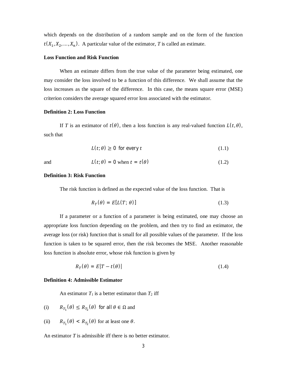which depends on the distribution of a random sample and on the form of the function  $t(X_1, X_2, \ldots, X_n)$ . A particular value of the estimator, *T* is called an estimate.

#### **Loss Function and Risk Function**

When an estimate differs from the true value of the parameter being estimated, one may consider the loss involved to be a function of this difference. We shall assume that the loss increases as the square of the difference. In this case, the means square error (MSE) criterion considers the average squared error loss associated with the estimator.

#### **Definition 2: Loss Function**

If *T* is an estimator of  $t(\theta)$ , then a loss function is any real-valued function  $L(t, \theta)$ , such that

$$
L(t; \theta) \ge 0 \text{ for every } t \tag{1.1}
$$

and 
$$
L(t; \theta) = 0
$$
 when  $t = t(\theta)$  (1.2)

#### **Definition 3: Risk Function**

The risk function is defined as the expected value of the loss function. That is

$$
R_T(\theta) = E[L(T; \theta)] \tag{1.3}
$$

If a parameter or a function of a parameter is being estimated, one may choose an appropriate loss function depending on the problem, and then try to find an estimator, the average loss (or risk) function that is small for all possible values of the parameter. If the loss function is taken to be squared error, then the risk becomes the MSE. Another reasonable loss function is absolute error, whose risk function is given by

$$
R_T(\theta) = E|T - t(\theta)| \tag{1.4}
$$

#### **Definition 4: Admissible Estimator**

An estimator  $T_1$  is a better estimator than  $T_2$  iff

(i) 
$$
R_{T_1}(\theta) \le R_{T_2}(\theta)
$$
 for all  $\theta \in \Omega$  and

(ii)  $R_{T_1}(\theta) < R_{T_2}(\theta)$  for at least one  $\theta$ .

An estimator *T* is admissible iff there is no better estimator.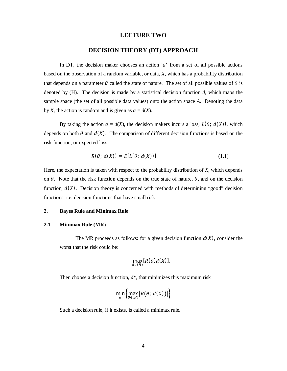#### **LECTURE TWO**

# **DECISION THEORY (DT) APPROACH**

In DT, the decision maker chooses an action '*a*' from a set of all possible actions based on the observation of a random variable, or data, *X*, which has a probability distribution that depends on a parameter  $\theta$  called the state of nature. The set of all possible values of  $\theta$  is denoted by (H). The decision is made by a statistical decision function *d*, which maps the sample space (the set of all possible data values) onto the action space *A*. Denoting the data by *X*, the action is random and is given as  $a = d(X)$ .

By taking the action  $a = d(X)$ , the decision makers incurs a loss,  $L(\theta; d(X))$ , which depends on both  $\theta$  and  $d(X)$ . The comparison of different decision functions is based on the risk function, or expected loss,

$$
R(\theta; d(X)) = E[L(\theta; d(X))]
$$
\n(1.1)

Here, the expectation is taken with respect to the probability distribution of *X*, which depends on  $\theta$ . Note that the risk function depends on the true state of nature,  $\theta$ , and on the decision function,  $d(X)$ . Decision theory is concerned with methods of determining "good" decision functions, i.e. decision functions that have small risk

## **2. Bayes Rule and Minimax Rule**

#### **2.1 Minimax Rule (MR)**

The MR proceeds as follows: for a given decision function  $d(X)$ , consider the worst that the risk could be:

$$
\max_{\theta \in (H)} [R(\theta)d(X)].
$$

Then choose a decision function, *d*\*, that minimizes this maximum risk

$$
\min_{d} \left\{ \max_{\theta \in (H)} [R(\theta; d(X))] \right\}
$$

Such a decision rule, if it exists, is called a minimax rule.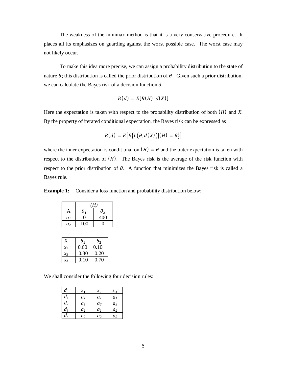The weakness of the minimax method is that it is a very conservative procedure. It places all its emphasizes on guarding against the worst possible case. The worst case may not likely occur.

To make this idea more precise, we can assign a probability distribution to the state of nature  $\theta$ ; this distribution is called the prior distribution of  $\theta$ . Given such a prior distribution, we can calculate the Bayes risk of a decision function *d*:

$$
B(d) = E[R(H); d(X)]
$$

Here the expectation is taken with respect to the probability distribution of both  $(H)$  and  $X$ . By the property of iterated conditional expectation, the Bayes risk can be expressed as

$$
B(d) = E\big[E\big\{L(\theta, d(X))|(H) = \theta\big\}\big]
$$

where the inner expectation is conditional on  $(H) = \theta$  and the outer expectation is taken with respect to the distribution of  $(H)$ . The Bayes risk is the average of the risk function with respect to the prior distribution of  $\theta$ . A function that minimizes the Bayes risk is called a Bayes rule.

**Example 1:** Consider a loss function and probability distribution below:

|                | (H)          |            |  |
|----------------|--------------|------------|--|
| A              | $\theta_{1}$ | $\theta_2$ |  |
| a <sub>1</sub> | 0            | 400        |  |
| a <sub>2</sub> | 100          |            |  |

| $\mathbf{x}$    | $\theta_{1}$ | $\theta$ <sub>2</sub> |
|-----------------|--------------|-----------------------|
| $\mathcal{X}_1$ | 0.60         | 0.10                  |
| $\chi_2$        | 0.30         | 0.20                  |
| $\chi_3$        | 0.10         | 0.70                  |

We shall consider the following four decision rules:

| d     | $x_{1}$        | $x_{2}$        | $x_{3}$        |
|-------|----------------|----------------|----------------|
| $d_1$ | a <sub>1</sub> | a <sub>1</sub> | a <sub>1</sub> |
| $d_2$ | a <sub>1</sub> | a <sub>2</sub> | a <sub>2</sub> |
| $d_3$ | a <sub>1</sub> | a <sub>1</sub> | a <sub>2</sub> |
| ds    | a <sub>2</sub> | a <sub>2</sub> | a <sub>2</sub> |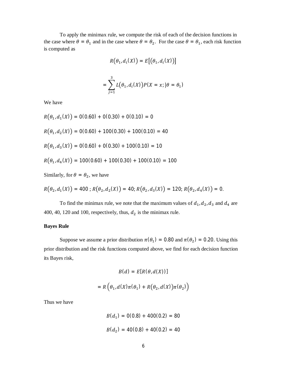To apply the minimax rule, we compute the risk of each of the decision functions in the case where  $\theta = \theta_1$  and in the case where  $\theta = \theta_2$ . For the case  $\theta = \theta_1$ , each risk function is computed as

$$
R(\theta_1, d_i(X)) = E[(\theta_1, d_i(X))]
$$

$$
= \sum_{j=1}^{3} L(\theta_1, d_i(X)) P(X = x; |\theta = \theta_1)
$$

We have

$$
R(\theta_1, d_1(X)) = 0(0.60) + 0(0.30) + 0(0.10) = 0
$$
  
\n
$$
R(\theta_1, d_2(X)) = 0(0.60) + 100(0.30) + 100(0.10) = 40
$$
  
\n
$$
R(\theta_1, d_3(X)) = 0(0.60) + 0(0.30) + 100(0.10) = 10
$$
  
\n
$$
R(\theta_1, d_4(X)) = 100(0.60) + 100(0.30) + 100(0.10) = 100
$$

Similarly, for  $\theta = \theta_2$ , we have

$$
R(\theta_2, d_1(X)) = 400; R(\theta_2, d_2(X)) = 40; R(\theta_2, d_3(X)) = 120; R(\theta_2, d_4(X)) = 0.
$$

To find the minimax rule, we note that the maximum values of  $d_1, d_2, d_3$  and  $d_4$  are 400, 40, 120 and 100, respectively, thus,  $d_2$  is the minimax rule.

#### **Bayes Rule**

Suppose we assume a prior distribution  $\pi(\theta_1) = 0.80$  and  $\pi(\theta_2) = 0.20$ . Using this prior distribution and the risk functions computed above, we find for each decision function its Bayes risk,

$$
B(d) = E[R(\theta, d(X))]
$$
  
=  $R\left(\theta_1, d(X)\pi(\theta_1) + R(\theta_2, d(X))\pi(\theta_2)\right)$ 

Thus we have

$$
B(d_1) = 0(0.8) + 400(0.2) = 80
$$
  

$$
B(d_2) = 40(0.8) + 40(0.2) = 40
$$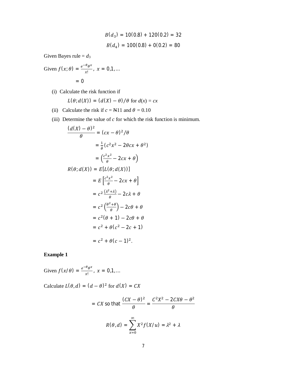$$
B(d_3) = 10(0.8) + 120(0.2) = 32
$$
  

$$
B(d_4) = 100(0.8) + 0(0.2) = 80
$$

Given Bayes rule =  $d_3$ 

Given 
$$
f(x; \theta) = \frac{e^{-\theta} \theta^x}{x!}, x = 0, 1, ...
$$
  
= 0

(i) Calculate the risk function if

$$
L(\theta; d(X)) = (d(X) - \theta) / \theta \text{ for } d(x) = cx
$$

- (ii) Calculate the risk if  $c = N11$  and  $\theta = 0.10$
- (iii) Determine the value of *c* for which the risk function is minimum.

$$
\frac{(d(X) - \theta)^2}{\theta} = (cx - \theta)^2/\theta
$$

$$
= \frac{1}{\theta}(c^2x^2 - 2\theta cx + \theta^2)
$$

$$
= \left(\frac{c^2x^2}{\theta} - 2cx + \theta\right)
$$

$$
R(\theta; d(X)) = E[L(\theta; d(X))]
$$

$$
= E\left[\frac{c^2x^2}{\theta} - 2cx + \theta\right]
$$

$$
= c^2\frac{(a^2 + a)}{\theta} - 2c\lambda + \theta
$$

$$
= c^2\left(\frac{\theta^2 + \theta}{\theta}\right) - 2c\theta + \theta
$$

$$
= c^2(\theta + 1) - 2c\theta + \theta
$$

$$
= c^2 + \theta(c^2 - 2c + 1)
$$

$$
= c^2 + \theta(c - 1)^2.
$$

# **Example 1**

Given 
$$
f(x/\theta) = \frac{e^{-\theta} \theta^x}{x!}
$$
,  $x = 0, 1, ...$ 

Calculate  $L(\theta, d) = (d - \theta)^2$  for  $d(X) = CX$ 

$$
= CX \text{ so that } \frac{(CX - \theta)^2}{\theta} = \frac{C^2X^2 - 2CX\theta - \theta^2}{\theta}
$$

$$
R(\theta, d) = \sum_{x=0}^{\infty} X^2 f(X/u) = \lambda^2 + \lambda
$$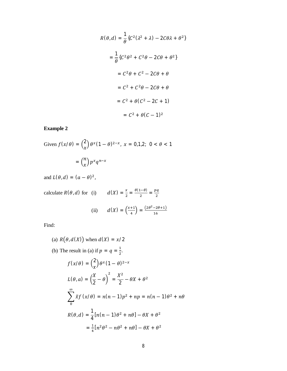$$
R(\theta, d) = \frac{1}{\theta} \{C^2(\lambda^2 + \lambda) - 2C\theta\lambda + \theta^2\}
$$

$$
= \frac{1}{\theta} \{C^2\theta^2 + C^2\theta - 2C\theta + \theta^2\}
$$

$$
= C^2\theta + C^2 - 2C\theta + \theta
$$

$$
= C^2 + C^2\theta - 2C\theta + \theta
$$

$$
= C^2 + \theta(C^2 - 2C + 1)
$$

$$
= C^2 + \theta(C - 1)^2
$$

# **Example 2**

Given 
$$
f(x/\theta) = {2 \choose x} \theta^x (1-\theta)^{2-x}
$$
,  $x = 0,1,2$ ;  $0 < \theta < 1$   
=  ${n \choose x} p^x q^{n-x}$ 

and  $L(\theta, d) = (a - \theta)^2$ ,

calculate  $R(\theta, d)$  for (i)  $d(X) = \frac{x}{2}$  $\frac{x}{2} = \frac{\theta(1-\theta)}{2}$  $\frac{(-\theta)}{2} = \frac{pq}{2}$  $\overline{\mathbf{c}}$ 

(ii) 
$$
d(X) = \left(\frac{x+1}{4}\right) = \frac{(2\theta^2 - 2\theta + 1)}{16}
$$

Find:

- (a)  $R(\theta, d(X))$  when  $d(X) = x/2$
- (b) The result in (a) if  $p = q = \frac{1}{2}$  $\frac{1}{2}$ .

$$
f(x/\theta) = {2 \choose x} \theta^x (1 - \theta)^{2-x}
$$
  
\n
$$
L(\theta, a) = \left(\frac{X}{2} - \theta\right)^2 = \frac{X^2}{2} - \theta X + \theta^2
$$
  
\n
$$
\sum_{0}^{\infty} \tilde{x} f(x/\theta) = n(n-1)p^2 + np = n(n-1)\theta^2 + n\theta
$$
  
\n
$$
R(\theta, d) = \frac{1}{4} [n(n-1)\theta^2 + n\theta] - \theta X + \theta^2
$$
  
\n
$$
= \frac{1}{4} [n^2 \theta^2 - n\theta^2 + n\theta] - \theta X + \theta^2
$$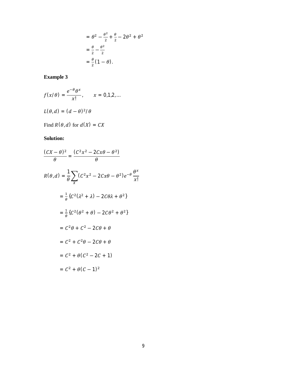$$
= \theta^2 - \frac{\theta^2}{2} + \frac{\theta}{2} - 2\theta^2 + \theta^2
$$

$$
= \frac{\theta}{2} - \frac{\theta^2}{2}
$$

$$
= \frac{\theta}{2} (1 - \theta).
$$

# **Example 3**

$$
f(x/\theta) = \frac{e^{-\theta}\theta^x}{x!}, \qquad x = 0,1,2,...
$$

$$
L(\theta, d) = (d - \theta)^2/\theta
$$

Find  $R(\theta, d)$  for  $d(X) = CX$ 

# **Solution:**

$$
\frac{(CX - \theta)^2}{\theta} = \frac{(C^2x^2 - 2Cx\theta - \theta^2)}{\theta}
$$
  
\n
$$
R(\theta, d) = \frac{1}{\theta} \sum_{X} (C^2x^2 - 2Cx\theta - \theta^2)e^{-\theta} \frac{\theta^x}{x!}
$$
  
\n
$$
= \frac{1}{\theta} \{C^2(\lambda^2 + \lambda) - 2C\theta\lambda + \theta^2\}
$$
  
\n
$$
= \frac{1}{\theta} \{C^2(\theta^2 + \theta) - 2C\theta^2 + \theta^2\}
$$
  
\n
$$
= C^2\theta + C^2 - 2C\theta + \theta
$$
  
\n
$$
= C^2 + C^2\theta - 2C\theta + \theta
$$
  
\n
$$
= C^2 + \theta(C^2 - 2C + 1)
$$
  
\n
$$
= C^2 + \theta(C - 1)^2
$$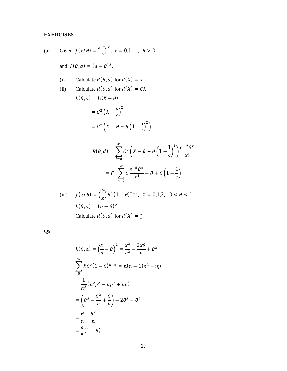# **EXERCISES**

(a) Given 
$$
f(x/\theta) = \frac{e^{-\theta} \theta^x}{x!}
$$
,  $x = 0,1,..., \theta > 0$ 

and  $L(\theta, a) = (a - \theta)^2$ ,

(i) Calculate 
$$
R(\theta, d)
$$
 for  $d(X) = x$ 

(ii) Calculate 
$$
R(\theta, d)
$$
 for  $d(X) = CX$   
\n
$$
L(\theta, a) = (CX - \theta)^2
$$
\n
$$
= C^2 (X - \frac{\theta}{c})^2
$$

$$
= C2 \left(X - \theta + \theta \left(1 - \frac{1}{c}\right)^2\right)
$$

$$
R(\theta, d) = \sum_{i=0}^{\infty} C^2 \left( X - \theta + \theta \left( 1 - \frac{1}{c} \right)^2 \right) \frac{e^{-\theta} \theta^x}{x!}
$$

$$
= C^2 \sum_{x=0}^{\infty} x \frac{e^{-\theta} \theta^x}{x!} - \theta + \theta \left( 1 - \frac{1}{c} \right)
$$

(iii) 
$$
f(x/\theta) = {2 \choose x} \theta^x (1 - \theta)^{2-x}, \quad X = 0, 1, 2, \quad 0 < \theta < 1
$$

$$
L(\theta, a) = (a - \theta)^2
$$

$$
\text{Calculate } R(\theta, d) \text{ for } d(X) = \frac{x}{2}.
$$

**Q5**

$$
L(\theta, a) = \left(\frac{x}{n} - \theta\right)^2 = \frac{x^2}{n^2} - \frac{2x\theta}{n} + \theta^2
$$
  

$$
\sum_{n=0}^{\infty} \tilde{x}\theta^x (1-\theta)^{n-x} = n(n-1)p^2 + np
$$
  

$$
= \frac{1}{n^2} (n^2p^2 - up^2 + np)
$$
  

$$
= \left(\theta^2 - \frac{\theta^2}{n} + \frac{\theta}{n}\right) - 2\theta^2 + \theta^2
$$
  

$$
= \frac{\theta}{n} - \frac{\theta^2}{n}
$$
  

$$
= \frac{\theta}{n} (1-\theta).
$$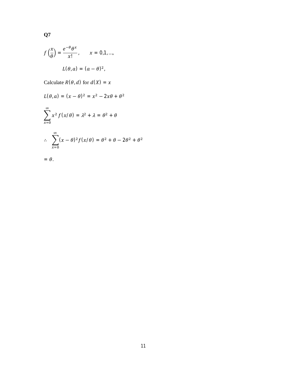$$
f\left(\frac{x}{\theta}\right) = \frac{e^{-\theta}\theta^x}{x!}, \qquad x = 0, 1, ...,
$$

$$
L(\theta, a) = (a - \theta)^2,
$$

**Q7**

Calculate  $R(\theta, d)$  for  $d(X) = x$ 

$$
L(\theta, a) = (x - \theta)^2 = x^2 - 2x\theta + \theta^2
$$
  

$$
\sum_{x=0}^{\infty} x^2 f(x/\theta) = \lambda^2 + \lambda = \theta^2 + \theta
$$
  

$$
\therefore \sum_{x=0}^{\infty} (x - \theta)^2 f(x/\theta) = \theta^2 + \theta - 2\theta^2 + \theta^2
$$
  

$$
= \theta.
$$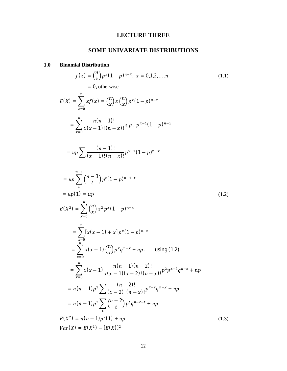# **LECTURE THREE**

# **SOME UNIVARIATE DISTRIBUTIONS**

# **1.0 Binomial Distribution**

$$
f(x) = {n \choose x} p^{x} (1-p)^{n-x}, x = 0,1,2,...,n
$$
\n
$$
= 0, \text{ otherwise}
$$
\n
$$
E(X) = \sum_{x=0}^{n} x f(x) = {n \choose x} x {n \choose x} p^{x} (1-p)^{n-x}
$$
\n
$$
= \sum_{x=0}^{n} \frac{n(n-1)!}{x(x-1)!(n-x)!} x p \cdot p^{x-1} (1-p)^{n-x}
$$
\n
$$
= up \sum_{t} \frac{(n-1)!}{(x-1)!(n-x)!} p^{x-1} (1-p)^{n-x}
$$
\n
$$
= up \sum_{t} {n-1 \choose t} p^{t} (1-p)^{n-1-t}
$$
\n
$$
= up(1) = up
$$
\n
$$
E(X^{2}) = \sum_{x=0}^{n} {n \choose x} x^{2} p^{x} (1-p)^{n-x}
$$
\n
$$
= \sum_{x=0}^{n} [x(x-1) + x] p^{x} (1-p)^{n-x}
$$
\n
$$
= \sum_{x=0}^{n} x(x-1) {n \choose x} p^{x} q^{n-x} + np, \text{ using (1.2)}
$$
\n
$$
= \sum_{x=0}^{n} x(x-1) \frac{n(n-1)(n-2)!}{x(x-1)(x-2)!(n-x)!} p^{2} p^{x-2} q^{n-x} + np
$$
\n
$$
= n(n-1)p^{2} \sum_{t} \frac{(n-2)!}{(x-2)!(n-x)!} p^{x-2} q^{n-x} + np
$$
\n
$$
= n(n-1)p^{2} \sum_{t} {n-2 \choose t} p^{t} q^{n-2-t} + np
$$
\n
$$
Var(X) = E(X^{2}) - [E(X)]^{2}
$$
\n(1.3)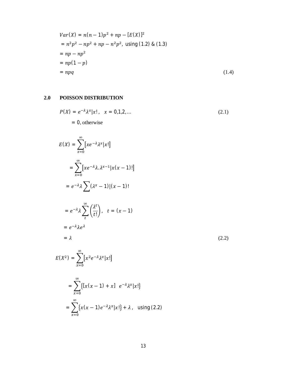$$
Var(X) = n(n-1)p^{2} + np - [E(X)]^{2}
$$
  
=  $n^{2}p^{2} - np^{2} + np - n^{2}p^{2}$ , using (1.2) & (1.3)  
=  $np - np^{2}$   
=  $np(1-p)$   
=  $npq$  (1.4)

# **2.0 POISSON DISTRIBUTION**

 $\infty$ 

$$
P(X) = e^{-\lambda} \lambda^x |x|, \quad x = 0, 1, 2, \dots
$$
  
= 0, otherwise (2.1)

$$
E(X) = \sum_{x=0}^{\infty} [xe^{-\lambda} \lambda^{x} |x|]
$$
  
\n
$$
= \sum_{x=0}^{\infty} [xe^{-\lambda} \lambda \lambda^{x-1} |x(x-1)|]
$$
  
\n
$$
= e^{-\lambda} \lambda \sum_{t} (\lambda^{x} - 1) |(x - 1)|
$$
  
\n
$$
= e^{-\lambda} \lambda \sum_{t}^{\infty} (\frac{\lambda^{t}}{t!}), \quad t = (x - 1)
$$
  
\n
$$
= e^{-\lambda} \lambda e^{\lambda}
$$
  
\n
$$
= \lambda
$$
  
\n
$$
E(X^{2}) = \sum_{x=0}^{\infty} [x^{2} e^{-\lambda} \lambda^{x} |x|]
$$
  
\n
$$
= \sum_{x=0}^{\infty} \{ [x(x - 1) + x] e^{-\lambda} \lambda^{x} |x| \}
$$

$$
= \sum_{x=0}^{\infty} \{x(x-1)e^{-\lambda}\lambda^{x}|x!\} + \lambda \quad \text{using (2.2)}
$$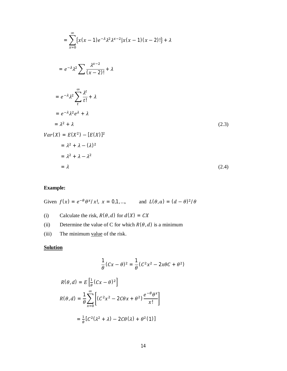$$
= \sum_{x=0}^{\infty} \{x(x-1)e^{-\lambda}\lambda^{2}\lambda^{x-2}|x(x-1)(x-2)|\} + \lambda
$$
  
\n
$$
= e^{-\lambda}\lambda^{2} \sum_{t=0}^{\infty} \frac{\lambda^{t}}{(x-2)!} + \lambda
$$
  
\n
$$
= e^{-\lambda}\lambda^{2} \sum_{t=0}^{\infty} \frac{\lambda^{t}}{t!} + \lambda
$$
  
\n
$$
= e^{-\lambda}\lambda^{2}e^{\lambda} + \lambda
$$
  
\n
$$
= \lambda^{2} + \lambda
$$
  
\n
$$
Var(X) = E(X^{2}) - [E(X)]^{2}
$$
  
\n
$$
= \lambda^{2} + \lambda - (\lambda)^{2}
$$
  
\n
$$
= \lambda^{2} + \lambda - \lambda^{2}
$$
  
\n
$$
= \lambda
$$
 (2.4)

# **Example:**

Given  $f(x) = e^{-\theta} \theta^x / x!$ ,  $x = 0,1,...$ , and  $L(\theta, a) = (d - \theta)^2 / \theta$ 

(i) Calculate the risk,  $R(\theta, d)$  for  $d(X) = CX$ 

(ii) Determine the value of C for which  $R(\theta, d)$  is a minimum

(iii) The minimum value of the risk.

# **Solution**

$$
\frac{1}{\theta}(Cx-\theta)^2=\frac{1}{\theta}(C^2x^2-2x\theta C+\theta^2)
$$

$$
R(\theta, d) = E\left[\frac{1}{\theta}(Cx - \theta)^2\right]
$$
  

$$
R(\theta, d) = \frac{1}{\theta} \sum_{x=0}^{\infty} \left[ (C^2x^2 - 2C\theta x + \theta^2) \frac{e^{-\theta} \theta^x}{x!} \right]
$$
  

$$
= \frac{1}{\theta} [C^2(\lambda^2 + \lambda) - 2C\theta(\lambda) + \theta^2(1)]
$$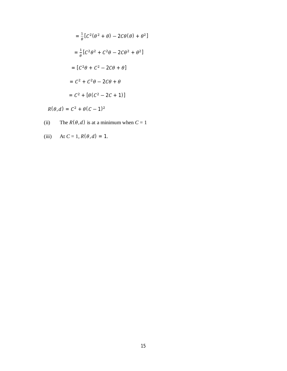$$
= \frac{1}{\theta} [C^2(\theta^2 + \theta) - 2C\theta(\theta) + \theta^2]
$$

$$
= \frac{1}{\theta} [C^2\theta^2 + C^2\theta - 2C\theta^2 + \theta^2]
$$

$$
= [C^2\theta + C^2 - 2C\theta + \theta]
$$

$$
= C^2 + C^2\theta - 2C\theta + \theta
$$

$$
= C^2 + [\theta(C^2 - 2C + 1)]
$$

 $R(\theta, d) = C^2 + \theta(C - 1)^2$ 

- (ii) The  $R(\theta, d)$  is at a minimum when  $C = 1$
- (iii) At  $C = 1, R(\theta, d) = 1$ .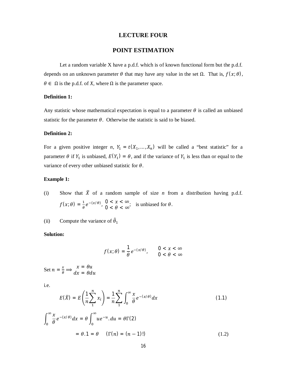#### **LECTURE FOUR**

# **POINT ESTIMATION**

Let a random variable  $X$  have a p.d.f. which is of known functional form but the p.d.f. depends on an unknown parameter  $\theta$  that may have any value in the set  $\Omega$ . That is,  $f(x; \theta)$ ,  $\theta \in \Omega$  is the p.d.f. of *X*, where  $\Omega$  is the parameter space.

#### **Definition 1:**

Any statistic whose mathematical expectation is equal to a parameter  $\theta$  is called an unbiased statistic for the parameter  $\theta$ . Otherwise the statistic is said to be biased.

#### **Definition 2:**

For a given positive integer *n*,  $Y_1 = t(X_1, ..., X_n)$  will be called a "best statistic" for a parameter  $\theta$  if  $Y_1$  is unbiased,  $E(Y_1) = \theta$ , and if the variance of  $Y_1$  is less than or equal to the variance of every other unbiased statistic for  $\theta$ .

#### **Example 1:**

(i) Show that  $\overline{X}$  of a random sample of size *n* from a distribution having p.d.f.  $f(x; \theta) = \frac{1}{\theta}$  $\frac{1}{\theta}e^{-(x/\theta)}$ ,  $0 < x < \infty$  $0 < \lambda < \infty$ ; is unbiased for  $\theta$ .

(ii) Compute the variance of  $\hat{\theta}_1$ 

#### **Solution:**

$$
f(x; \theta) = \frac{1}{\theta} e^{-(x/\theta)}, \qquad 0 < x < \infty
$$
  
0 < \theta < \infty

Set  $n = \frac{x}{a}$  $\theta$  $\Rightarrow$   $\begin{array}{l} x = \theta u \\ dx = \theta du \end{array}$ 

i.e.

$$
E(\overline{X}) = E\left(\frac{1}{n}\sum_{1}^{n} x_{i}\right) = \frac{1}{n}\sum_{1}^{n} \int_{0}^{\infty} \frac{x}{\theta} e^{-(x/\theta)} dx
$$
\n
$$
\int_{0}^{\infty} \frac{x}{\theta} e^{-(x/\theta)} dx = \theta \int_{0}^{\infty} u e^{-u} du = \theta \Gamma(2)
$$
\n
$$
= \theta \cdot 1 = \theta \quad (\Gamma(n) = (n-1)!)
$$
\n(1.2)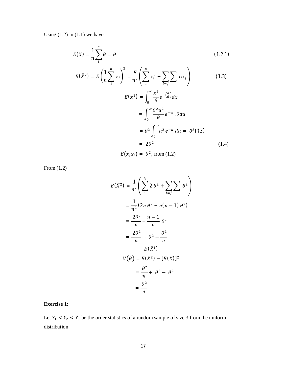Using  $(1.2)$  in  $(1.1)$  we have

$$
E(\bar{X}) = \frac{1}{n} \sum_{1}^{h} \theta = \theta
$$
 (1.2.1)

$$
E(\overline{X}^2) = E\left(\frac{1}{n}\sum_{i=1}^{n} x_i\right)^2 = \frac{E}{n^2} \left(\sum_{i=1}^{n} x_i^2 + \sum_{i=1}^{n} \sum_{j=1}^{n} x_i x_j\right)
$$
(1.3)  

$$
E(x^2) = \int_0^\infty \frac{x^2}{\theta} e^{-\left(\frac{x}{\theta}\right)} dx
$$

$$
= \int_0^\infty \frac{\theta^2 u^2}{\theta} e^{-u} \cdot \theta du
$$

$$
= \theta^2 \int_0^\infty u^2 e^{-u} du = \theta^2 \Gamma(3)
$$

$$
= 2\theta^2
$$

$$
E(x_i x_j) = \theta^2, \text{ from (1.2)}
$$
(1.4)

From (1.2)

$$
E(\overline{X}^2) = \frac{1}{n^2} \left( \sum_{1}^{h} 2 \theta^2 + \sum_{i=j} \sum_{i=j} \theta^2 \right)
$$
  
= 
$$
\frac{1}{n^2} (2n \theta^2 + n(n-1) \theta^2)
$$
  
= 
$$
\frac{2\theta^2}{n} + \frac{n-1}{n} \theta^2
$$
  
= 
$$
\frac{2\theta^2}{n} + \theta^2 - \frac{\theta^2}{n}
$$
  

$$
E(\overline{X}^2)
$$
  

$$
V(\widehat{\theta}) = E(\overline{X}^2) - [E(\overline{X})]^2
$$
  
= 
$$
\frac{\theta^2}{n} + \theta^2 - \theta^2
$$
  
= 
$$
\frac{\theta^2}{n}
$$

# **Exercise 1:**

Let  $Y_1 < Y_2 < Y_3$  be the order statistics of a random sample of size 3 from the uniform distribution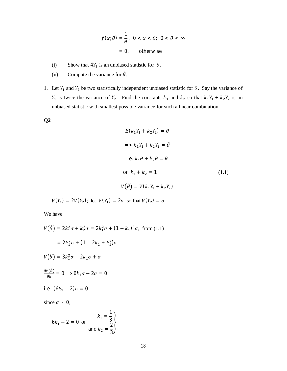$$
f(x; \theta) = \frac{1}{\theta}, \ \ 0 < x < \theta; \ \ 0 < \theta < \infty
$$
\n
$$
= 0, \ \ \text{otherwise}
$$

- (i) Show that  $4Y_1$  is an unbiased statistic for  $\theta$ .
- (ii) Compute the variance for  $\hat{\theta}$ .
- 1. Let  $Y_1$  and  $Y_2$  be two statistically independent unbiased statistic for  $\theta$ . Say the variance of  $Y_1$  is twice the variance of  $Y_2$ . Find the constants  $k_1$  and  $k_2$  so that  $k_1Y_1 + k_2Y_2$  is an unbiased statistic with smallest possible variance for such a linear combination.

**Q2**

$$
E(k_1Y_1 + k_2Y_2) = \theta
$$
  

$$
= > k_1Y_1 + k_2Y_2 = \hat{\theta}
$$
  
i.e.  $k_1\theta + k_2\theta = \theta$   
or  $k_1 + k_2 = 1$  (1.1)  

$$
V(\hat{\theta}) = V(k_1Y_1 + k_2Y_2)
$$

$$
V(Y_1) = 2V(Y_2);
$$
 let  $V(Y_1) = 2\sigma$  so that  $V(Y_2) = \sigma$ 

We have

$$
V(\hat{\theta}) = 2k_1^2 \sigma + k_2^2 \sigma = 2k_1^2 \sigma + (1 - k_1)^2 \sigma, \text{ from (1.1)}
$$
  
\n
$$
= 2k_1^2 \sigma + (1 - 2k_1 + k_1^2) \sigma
$$
  
\n
$$
V(\hat{\theta}) = 3k_1^2 \sigma - 2k_1 \sigma + \sigma
$$
  
\n
$$
\frac{\partial V(\hat{\theta})}{\partial k} = 0 \implies 6k_1 \sigma - 2\sigma = 0
$$
  
\ni.e.  $(6k_1 - 2)\sigma = 0$   
\nsince  $\sigma \neq 0$ ,

$$
6k_1 - 2 = 0 \text{ or } \begin{cases} k_1 = \frac{1}{3} \\ \text{and } k_2 = \frac{2}{3} \end{cases}
$$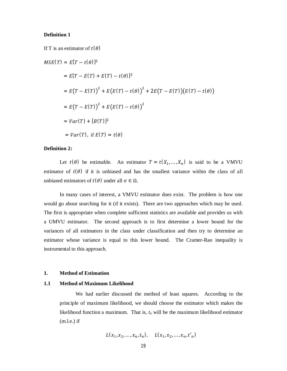#### **Definition 1**

If T is an estimator of  $t(\theta)$ 

$$
MSE(T) = E[T - t(\theta)]^{2}
$$
  
=  $E[T - E(T) + E(T) - t(\theta)]^{2}$   
=  $E(T - E(T))^{2} + E(E(T) - t(\theta))^{2} + 2E(T - E(T))(E(T) - t(\theta))$   
=  $E(T - E(T))^{2} + E(E(T) - t(\theta))^{2}$   
=  $Var(T) + [B(T)]^{2}$   
=  $Var(T)$ , if  $E(T) = t(\theta)$ 

## **Definition 2:**

Let  $t(\theta)$  be estimable. An estimator  $T = t(X_1, ..., X_n)$  is said to be a VMVU estimator of  $t(\theta)$  if it is unbiased and has the smallest variance within the class of all unbiased estimators of  $t(\theta)$  under all  $\sigma \in \Omega$ .

In many cases of interest, a VMVU estimator does exist. The problem is how one would go about searching for it (if it exists). There are two approaches which may be used. The first is appropriate when complete sufficient statistics are available and provides us with a UMVU estimator. The second approach is to first determine a lower bound for the variances of all estimators in the class under classification and then try to determine an estimator whose variance is equal to this lower bound. The Cramer-Rao inequality is instrumental to this approach.

## **1. Method of Estimation**

#### **1.1 Method of Maximum Likelihood**

We had earlier discussed the method of least squares. According to the principle of maximum likelihood, we should choose the estimator which makes the likelihood function a maximum. That is, *t<sup>n</sup>* will be the maximum likelihood estimator  $(m.l.e.)$  if

$$
L(x_1, x_2, ..., x_n, t_n), \quad L(x_1, x_2, ..., x_n, t'_n)
$$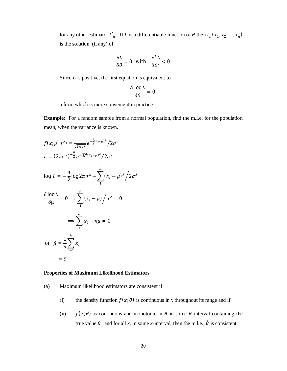for any other estimator  $t'_n$ . If *L* is a differentiable function of  $\theta$  then  $t_n(x_1, x_2, ..., x_n)$ is the solution (if any) of

$$
\frac{\delta L}{\delta \theta} = 0 \quad \text{with} \quad \frac{\delta^L L}{\delta \theta^2} < 0
$$

Since *L* is positive, the first equation is equivalent to

$$
\frac{\delta \log L}{\delta \theta}=0,
$$

a form which is more convenient in practice.

**Example:** For a random sample from a normal population, find the m.l.e. for the population mean, when the variance is known.

$$
f(x; \mu, \sigma^2) = \frac{1}{\sqrt{2\pi\sigma^2}} e^{-\frac{1}{2}(x-\mu)^2} / 2\sigma^2
$$
  
\n
$$
L = (2\pi\sigma^2)^{-\frac{n}{2}} e^{-\sum_{1}^{h} (x_i - \mu)^2} / 2\sigma^2
$$
  
\n
$$
\log L = -\frac{n}{2} \log 2\pi\sigma^2 - \sum_{1}^{h} (x_i - \mu)^2 / 2\sigma^2
$$
  
\n
$$
\frac{\delta \log L}{\delta \mu} = 0 \implies \sum_{1}^{h} (x_i - \mu) / \sigma^2 = 0
$$
  
\n
$$
\implies \sum_{1}^{h} x_i - n\mu = 0
$$
  
\nor  $\hat{\mu} = \frac{1}{n} \sum_{i=1}^{h} x_i$   
\n
$$
= \bar{x}
$$

#### **Properties of Maximum Likelihood Estimators**

- (a) Maximum likelihood estimators are consistent if
	- (i) the density function  $f(x; \theta)$  is continuous in *x* throughout its range and if
	- (ii)  $f(x; \theta)$  is continuous and monotonic in  $\theta$  in some  $\theta$  interval containing the true value  $\theta_0$  and for all *x*, in some *x*-interval, then the m.l.e.,  $\hat{\theta}$  is consistent.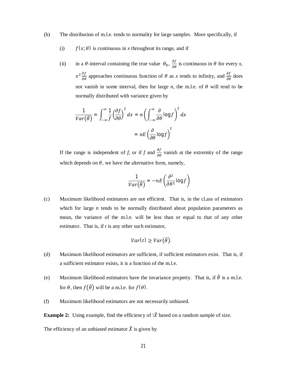#### (b) The distribution of m.l.e. tends to normality for large samples. More specifically, if

- (i)  $f(x; \theta)$  is continuous in *x* throughout its range, and if
- (ii) in a  $\theta$ -interval containing the true value  $\theta_0$ ,  $\frac{\partial f}{\partial \theta}$  is continuous in  $\theta$  for every *x*,  $x^2 \frac{\partial f}{\partial \theta}$  approaches continuous function of  $\theta$  as *x* tends to infinity, and  $\frac{\partial f}{\partial \theta}$  does not vanish in some interval, then for large  $n$ , the m.l.e. of  $\theta$  will tend to be normally distributed with variance given by

$$
\frac{1}{Var(\hat{\theta})} = \int_{-\infty}^{\infty} \frac{1}{f} \left(\frac{\partial f}{\partial \theta}\right)^2 dx = n \left(\int_{-\infty}^{\infty} \frac{\partial}{\partial \theta} \log f\right)^2 dx
$$

$$
= nE \left(\frac{\partial}{\partial \theta} \log f\right)^2
$$

If the range is independent of *f*, or if *f* and  $\frac{\partial f}{\partial \theta}$  vanish at the extremity of the range which depends on  $\theta$ , we have the alternative form, namely,

$$
\frac{1}{Var(\hat{\theta})} = -nE\left(\frac{\partial^2}{\partial \theta^2} \log f\right)
$$

(c) Maximum likelihood estimators are not efficient. That is, in the cl.ass of estimators which for large  $n$  tends to be normally distributed about population parameters as mean, the variance of the m.l.e. will be less than or equal to that of any other estimator. That is, if *t* is any other such estimator,

$$
Var(t) \geq Var(\hat{\theta}).
$$

- (d) Maximum likelihood estimators are sufficient, if sufficient estimators exist. That is, if a sufficient estimator exists, it is a function of the m.l.e.
- (e) Maximum likelihood estimators have the invariance property. That is, if  $\hat{\theta}$  is a m.l.e. for  $\theta$ , then  $f(\hat{\theta})$  will be a m.l.e. for  $f(\theta)$ .
- (f) Maximum likelihood estimators are not necessarily unbiased.

**Example 2:** Using example, find the efficiency of  $\overline{X}$  based on a random sample of size.

The efficiency of an unbiased estimator  $\bar{X}$  is given by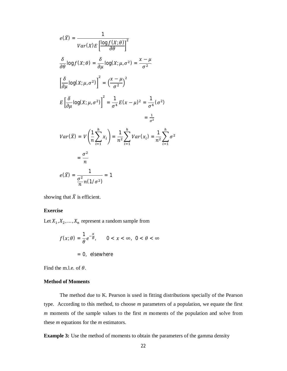$$
e(\overline{X}) = \frac{1}{Var(X)E\left[\frac{\log f(X;\theta)}{\partial \theta}\right]^2}
$$
  
\n
$$
\frac{\delta}{\partial \theta} \log f(X;\theta) = \frac{\delta}{\partial \mu} \log(X;\mu, \sigma^2) = \frac{x - \mu}{\sigma^2}
$$
  
\n
$$
\left[\frac{\delta}{\partial \mu} \log(X;\mu, \sigma^2)\right]^2 = \left(\frac{x - \mu}{\sigma^2}\right)^2
$$
  
\n
$$
E\left[\frac{\delta}{\partial \mu} \log(X;\mu, \sigma^2)\right]^2 = \frac{1}{\sigma^4}E(x - \mu)^2 = \frac{1}{\sigma^4}(\sigma^2)
$$
  
\n
$$
= \frac{1}{\sigma^2}
$$
  
\n
$$
Var(\overline{X}) = V\left(\frac{1}{n}\sum_{i=1}^h x_i\right) = \frac{1}{n^2}\sum_{i=1}^h Var(x_i) = \frac{1}{n^2}\sum_{i=1}^h \sigma^2
$$
  
\n
$$
= \frac{\sigma^2}{n}
$$
  
\n
$$
e(\overline{X}) = \frac{1}{\frac{\sigma^2}{n}n(1/\sigma^2)} = 1
$$

showing that  $\bar{X}$  is efficient.

# **Exercise**

Let  $X_1, X_2, \ldots, X_n$  represent a random sample from

$$
f(x; \theta) = \frac{1}{\theta} e^{-\frac{x}{\theta}}, \qquad 0 < x < \infty, \ 0 < \theta < \infty
$$
\n
$$
= 0, \ \text{elsewhere}
$$

Find the m.l.e. of  $\theta$ .

# **Method of Moments**

The method due to K. Pearson is used in fitting distributions specially of the Pearson type. According to this method, to choose *m* parameters of a population, we equate the first *m* moments of the sample values to the first *m* moments of the population and solve from these *m* equations for the *m* estimators.

**Example 3:** Use the method of moments to obtain the parameters of the gamma density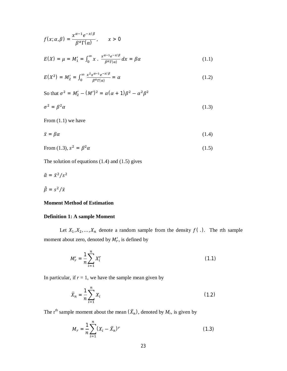$$
f(x; \alpha, \beta) = \frac{x^{\alpha - 1} e^{-x/\beta}}{\beta^{\alpha} \Gamma(\alpha)}, \qquad x > 0
$$
  

$$
E(X) = \mu = M'_1 = \int_0^{\infty} x \cdot \frac{x^{\alpha - 1} e^{-x/\beta}}{\beta^{\alpha} \Gamma(\alpha)} dx = \beta \alpha
$$
 (1.1)

$$
E(X^2) = M'_2 = \int_0^\infty \frac{x^2 x^{\alpha - 1} e^{-x/\beta}}{\beta^{\alpha} \Gamma(\alpha)} = \alpha
$$
 (1.2)

$$
\beta^{\alpha} \Gamma(\alpha) \qquad \qquad \alpha
$$

So that  $\sigma^2 = M'_2 - (M')^2 = \alpha(\alpha + 1)\beta^2 - \alpha^2\beta^2$ 

 $\beta^{\alpha} \Gamma(\alpha)$ 

$$
\sigma^2 = \beta^2 \alpha \tag{1.3}
$$

From (1.1) we have

$$
\bar{x} = \beta \alpha \tag{1.4}
$$

$$
\text{From (1.3), } s^2 = \beta^2 \alpha \tag{1.5}
$$

The solution of equations (1.4) and (1.5) gives

$$
\hat{\alpha} = \bar{x}^2/s^2
$$

$$
\hat{\beta} = s^2/\bar{x}
$$

#### **Moment Method of Estimation**

## **Definition 1: A sample Moment**

Let  $X_1, X_2, ..., X_n$  denote a random sample from the density  $f(.)$ . The rth sample moment about zero, denoted by  $M'_r$ , is defined by

$$
M'_r = \frac{1}{n} \sum_{i=1}^n X_i^r \tag{1.1}
$$

In particular, if  $r = 1$ , we have the sample mean given by

$$
\bar{X}_n = \frac{1}{n} \sum_{i=1}^n X_i
$$
\n(1.2)

The r<sup>th</sup> sample moment about the mean  $(\bar{X}_n)$ , denoted by  $M_r$ , is given by

$$
M_r = \frac{1}{n} \sum_{i=1}^{n} (X_i - \bar{X}_n)^r
$$
 (1.3)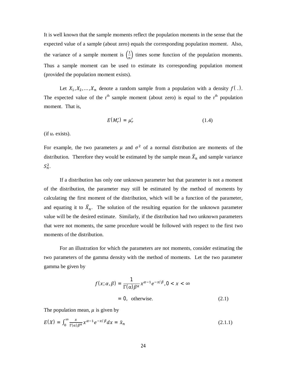It is well known that the sample moments reflect the population moments in the sense that the expected value of a sample (about zero) equals the corresponding population moment. Also, the variance of a sample moment is  $\left(\frac{1}{n}\right)$  $\frac{1}{n}$ ) times some function of the population moments. Thus a sample moment can be used to estimate its corresponding population moment (provided the population moment exists).

Let  $X_1, X_2, ..., X_n$  denote a random sample from a population with a density  $f(.)$ . The expected value of the  $r<sup>th</sup>$  sample moment (about zero) is equal to the  $r<sup>th</sup>$  population moment. That is,

$$
E(M'_r) = \mu'_r \tag{1.4}
$$

(if  $u_r$  exists).

For example, the two parameters  $\mu$  and  $\sigma^2$  of a normal distribution are moments of the distribution. Therefore they would be estimated by the sample mean  $\bar{X}_n$  and sample variance  $S_n^2$ .

If a distribution has only one unknown parameter but that parameter is not a moment of the distribution, the parameter may still be estimated by the method of moments by calculating the first moment of the distribution, which will be a function of the parameter, and equating it to  $\bar{X}_n$ . The solution of the resulting equation for the unknown parameter value will be the desired estimate. Similarly, if the distribution had two unknown parameters that were not moments, the same procedure would be followed with respect to the first two moments of the distribution.

For an illustration for which the parameters are not moments, consider estimating the two parameters of the gamma density with the method of moments. Let the two parameter gamma be given by

$$
f(x; \alpha, \beta) = \frac{1}{\Gamma(\alpha)\beta^{\alpha}} x^{\alpha - 1} e^{-x/\beta}, 0 < x < \infty
$$
  
= 0, otherwise. (2.1)

The population mean,  $\mu$  is given by

$$
E(X) = \int_0^\infty \frac{x}{\Gamma(\alpha)\beta^{\alpha}} x^{\alpha-1} e^{-x/\beta} dx = \bar{x}_n
$$
 (2.1.1)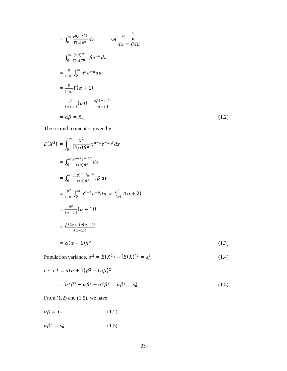$$
= \int_0^\infty \frac{x^{\alpha} e^{-x/\beta}}{\Gamma(\alpha)\beta^{\alpha}} dx \qquad \text{set } \frac{u = \frac{x}{\beta}}{dx} \n= \int_0^\infty \frac{(u\beta)^{\alpha}}{\Gamma(\alpha)\beta^{\alpha}} \cdot \beta e^{-u} du \n= \frac{\beta}{\Gamma(\alpha)} \int_0^\infty u^{\alpha} e^{-u} du \n= \frac{\beta}{\Gamma(\alpha)} \Gamma(\alpha + 1) \n= \frac{\beta}{(\alpha + 1)!} (\alpha)! = \frac{\alpha \beta (\alpha + 1)!}{(\alpha + 1)!} \n= \alpha \beta = \bar{x}_n
$$
\n(1.2)

The second moment is given by

$$
E(X^{2}) = \int_{0}^{\infty} \frac{x^{2}}{\Gamma(\alpha)\beta^{\alpha}} x^{\alpha-1} e^{-x/\beta} dx
$$
  
\n
$$
= \int_{0}^{\infty} \frac{x^{\alpha+1} e^{-x/\beta}}{\Gamma(\alpha)\beta^{\alpha}} dx
$$
  
\n
$$
= \int_{0}^{\infty} \frac{(u\beta)^{\alpha+1} e^{-u}}{\Gamma(\alpha)\beta^{\alpha}} \beta du
$$
  
\n
$$
= \frac{\beta^{2}}{\Gamma(\alpha)} \int_{0}^{\infty} u^{\alpha+1} e^{-u} du = \frac{\beta^{2}}{\Gamma(\alpha)} \Gamma(\alpha + 2)
$$
  
\n
$$
= \frac{\beta^{2}}{(\alpha-1)!} (\alpha + 1)!
$$
  
\n
$$
= \frac{\beta^{2}(\alpha+1)\alpha(\alpha-1)!}{(\alpha-1)!}
$$
  
\n
$$
= \alpha(\alpha + 1)\beta^{2}
$$
 (1.3)

Population variance,  $\sigma^2 = E(X^2) - [E(X)]^2 = s_n^2$ (1.4)

i.e. 
$$
\sigma^2 = \alpha(\alpha + 1)\beta^2 - (\alpha\beta)^2
$$
  
=  $\alpha^2\beta^2 + \alpha\beta^2 - \alpha^2\beta^2 = \alpha\beta^2 = s_n^2$  (1.5)

From  $(1.2)$  and  $(1.5)$ , we have

$$
\alpha \beta = \bar{x}_n \tag{1.2}
$$

 $\alpha\beta^2 = s_n^2$ (1.5)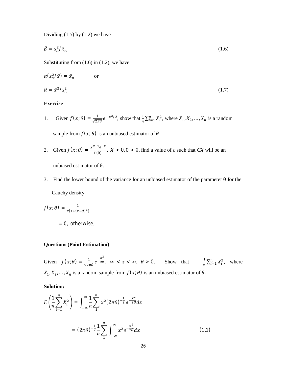Dividing  $(1.5)$  by  $(1.2)$  we have

$$
\hat{\beta} = s_n^2 / \bar{x}_n \tag{1.6}
$$

Substituting from  $(1.6)$  in  $(1.2)$ , we have

$$
\alpha(s_n^2/\bar{x}) = \bar{x}_n \qquad \text{or}
$$
  

$$
\hat{\alpha} = \bar{x}^2/s_n^2 \qquad (1.7)
$$

# **Exercise**

1. Given  $f(x; \theta) = \frac{1}{\sqrt{2\pi\theta}} e^{-x^2/2}$ , show that  $\frac{1}{n} \sum_{i=1}^n X_i^2$ , where  $X_1, X_2, ..., X_n$  is a random

sample from  $f(x; \theta)$  is an unbiased estimator of  $\theta$ .

- 2. Given  $f(x; \theta) = \frac{x^{\theta-1}e^{-x}}{F(0)}$  $\frac{e}{\Gamma(\theta)}$ ,  $X > 0$ ,  $\theta > 0$ , find a value of *c* such that *CX* will be an unbiased estimator of θ.
- 3. Find the lower bound of the variance for an unbiased estimator of the parameter  $\theta$  for the Cauchy density

$$
f(x; \theta) = \frac{1}{\pi [1 + (x - \theta)^2]}
$$
  
= 0, otherwise.

#### **Questions (Point Estimation)**

Given  $f(x; \theta) = \frac{1}{\sqrt{2}}$  $\frac{1}{\sqrt{2\pi\theta}}e^{-\frac{x^2}{2\theta}}$ ,  $-\infty < x < \infty$ ,  $\theta > 0$ . Show that  $\frac{1}{n}\sum_{i=1}^n X_i^2$ , where  $X_1, X_2, \ldots, X_n$  is a random sample from  $f(x; \theta)$  is an unbiased estimator of  $\theta$ .

**Solution:**

$$
E\left(\frac{1}{n}\sum_{i=1}^{n}X_{i}^{2}\right)=\int_{-\infty}^{\infty}\frac{1}{n}\sum_{1}^{n}x^{2}(2\pi\theta)^{-\frac{1}{2}}e^{-\frac{x^{2}}{2\theta}}dx
$$

$$
=(2\pi\theta)^{-\frac{1}{2}}\frac{1}{n}\sum_{1}^{n}\int_{-\infty}^{\infty}x^{2}e^{-\frac{x^{2}}{2\theta}}dx
$$
(1.1)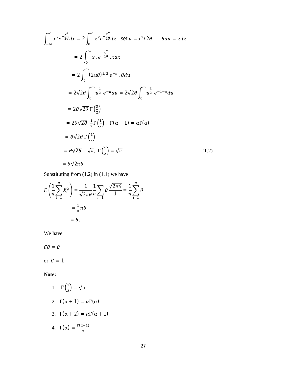$$
\int_{-\infty}^{\infty} x^2 e^{-\frac{x^2}{2\theta}} dx = 2 \int_{0}^{\infty} x^2 e^{-\frac{x^2}{2\theta}} dx \text{ set } u = x^2/2\theta, \quad \theta du = x dx
$$
  
\n
$$
= 2 \int_{0}^{\infty} x \cdot e^{-\frac{x^2}{2\theta}} . x dx
$$
  
\n
$$
= 2 \int_{0}^{\infty} (2u\theta)^{1/2} e^{-u} . \theta du
$$
  
\n
$$
= 2\sqrt{2\theta} \int_{0}^{\infty} u^{\frac{1}{2}} e^{-u} du = 2\sqrt{2\theta} \int_{0}^{\infty} u^{\frac{3}{2}} e^{-1-u} du
$$
  
\n
$$
= 2\theta \sqrt{2\theta} \Gamma(\frac{3}{2})
$$
  
\n
$$
= 2\theta \sqrt{2\theta} \cdot \frac{1}{2} \Gamma(\frac{1}{2}), \Gamma(\alpha + 1) = \alpha \Gamma(\alpha)
$$
  
\n
$$
= \theta \sqrt{2\theta} \Gamma(\frac{1}{2})
$$
  
\n
$$
= \theta \sqrt{2\theta} \cdot \sqrt{\pi}, \Gamma(\frac{1}{2}) = \sqrt{\pi}
$$
  
\n
$$
= \theta \sqrt{2\pi\theta}
$$
  
\n(1.2)

Substituting from  $(1.2)$  in  $(1.1)$  we have

$$
E\left(\frac{1}{n}\sum_{i=1}^{n}X_{i}^{2}\right)=\frac{1}{\sqrt{2\pi\theta}}\frac{1}{n}\sum_{i=1}^{n}\theta\frac{\sqrt{2\pi\theta}}{1}=\frac{1}{n}\sum_{i=1}^{n}\theta
$$

$$
=\frac{1}{n}n\theta
$$

$$
=\theta.
$$

We have

 $C\theta = \theta$ 

or  $C = 1$ 

# **Note:**

- 1.  $\Gamma\left(\frac{1}{2}\right)$  $\frac{1}{2}$ ) =  $\sqrt{\pi}$
- 2.  $\Gamma(\alpha + 1) = \alpha \Gamma(\alpha)$
- 3.  $\Gamma(\alpha + 2) = \alpha \Gamma(\alpha + 1)$

4. 
$$
\Gamma(\alpha) = \frac{\Gamma(\alpha+1)}{\alpha}
$$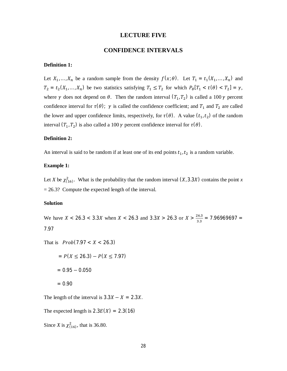#### **LECTURE FIVE**

# **CONFIDENCE INTERVALS**

#### **Definition 1:**

Let  $X_1, ..., X_n$  be a random sample from the density  $f(x; \theta)$ . Let  $T_1 = t_1(X_1, ..., X_n)$  and  $T_2 = t_2(X_1, ..., X_n)$  be two statistics satisfying  $T_1 \leq T_2$  for which  $P_\theta[T_1 < t(\theta) < T_2] = \gamma$ , where  $\gamma$  does not depend on  $\theta$ . Then the random interval  $(T_1, T_2)$  is called a 100  $\gamma$  percent confidence interval for  $\tau(\theta)$ ;  $\gamma$  is called the confidence coefficient; and  $T_1$  and  $T_2$  are called the lower and upper confidence limits, respectively, for  $\tau(\theta)$ . A value  $(t_1, t_2)$  of the random interval  $(T_1, T_2)$  is also called a 100  $\gamma$  percent confidence interval for  $\tau(\theta)$ .

#### **Definition 2:**

An interval is said to be random if at least one of its end points  $t_1, t_2$  is a random variable.

#### **Example 1:**

Let *X* be  $\chi^2_{(16)}$ . What is the probability that the random interval  $(X, 3.3X)$  contains the point *x*  $= 26.3$ ? Compute the expected length of the interval.

#### **Solution**

We have  $X < 26.3 < 3.3X$  when  $X < 26.3$  and  $3.3X > 26.3$  or  $X > \frac{26.3}{3.3}$  $\frac{18.8}{3.3}$  = 7.96969697 = 7.97

That is  $Prob(7.97 < X < 26.3)$ 

$$
= P(X \le 26.3) - P(X \le 7.97)
$$

$$
= 0.95 - 0.050
$$

$$
= 0.90
$$

The length of the interval is  $3.3X - X = 2.3X$ .

The expected length is  $2.3E(X) = 2.3(16)$ 

Since *X* is  $\chi^{2}_{(16)}$ , that is 36.80.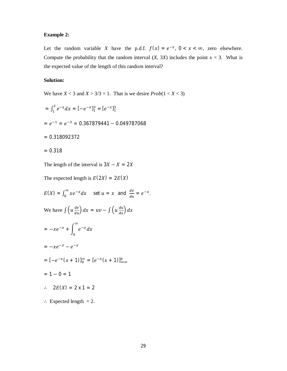# **Example 2:**

Let the random variable *X* have the p.d.f.  $f(x) = e^{-x}$ ,  $0 < x < \infty$ , zero elsewhere. Compute the probability that the random interval  $(X, 3X)$  includes the point  $x = 3$ . What is the expected value of the length of this random interval?

# **Solution:**

We have  $X < 3$  and  $X > 3/3 = 1$ . That is we desire  $Prob(1 < X < 3)$ 

$$
= \int_{1}^{3} e^{-x} dx = [-e^{-x}]_{1}^{3} = [e^{-x}]_{1}^{3}
$$

$$
= e^{-1} = e^{-3} = 0.367879441 - 0.049787068
$$

$$
= 0.318092372
$$

$$
= 0.318
$$

The length of the interval is  $3X - X = 2X$ 

The expected length is  $E(2X) = 2E(X)$ 

$$
E(X) = \int_0^\infty xe^{-x} dx \quad \text{set } u = x \text{ and } \frac{dv}{du} = e^{-x}.
$$
  
We have 
$$
\int \left(u \frac{dv}{du}\right) dx = uv - \int \left(u \frac{du}{dx}\right) dx
$$

$$
= -xe^{-x} + \int_0^\infty e^{-x} dx
$$

$$
= -xe^{-x} - e^{-x}
$$

$$
= [-e^{-x}(x+1)]_0^\infty = [e^{-x}(x+1)]_{\infty}^0
$$

$$
= 1 - 0 = 1
$$

$$
\therefore 2E(X) = 2 \times 1 = 2
$$

$$
\therefore \text{ Expected length} = 2.
$$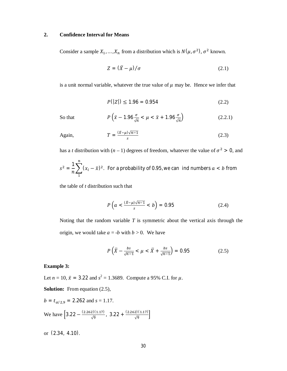#### **2. Confidence Interval for Means**

Consider a sample  $X_1, ..., X_n$  from a distribution which is  $N(\mu, \sigma^2)$ ,  $\sigma^2$  known.

$$
Z = (\bar{X} - \mu) / \sigma \tag{2.1}
$$

is a unit normal variable, whatever the true value of  $\mu$  may be. Hence we infer that

$$
P(|Z|) \le 1.96 = 0.954\tag{2.2}
$$

So that

$$
P\left(\bar{x} - 1.96\frac{\sigma}{\sqrt{n}} < \mu < \bar{x} + 1.96\frac{\sigma}{\sqrt{n}}\right) \tag{2.2.1}
$$

Again,

$$
T = \frac{(\bar{x} - \mu)\sqrt{n-1}}{s} \tag{2.3}
$$

has a *t* distribution with  $(n - 1)$  degrees of freedom, whatever the value of  $\sigma^2 > 0$ , and

$$
s^2 = \frac{1}{n} \sum_{1}^{n} (x_i - \bar{x})^2
$$
. For a probability of 0.95, we can *ind numbers a* < *b* from

the table of *t* distribution such that

$$
P\left(a < \frac{(\bar{x} - \mu)\sqrt{n-1}}{s} < b\right) = 0.95\tag{2.4}
$$

Noting that the random variable *T* is symmetric about the vertical axis through the origin, we would take  $a = -b$  with  $b > 0$ . We have

$$
P\left(\bar{X} - \frac{bs}{\sqrt{n-1}} < \mu < \bar{X} + \frac{bs}{\sqrt{n-1}}\right) = 0.95\tag{2.5}
$$

#### **Example 3:**

Let  $n = 10$ ,  $\bar{x} = 3.22$  and  $s^2 = 1.3689$ . Compute a 95% C.I. for  $\mu$ .

**Solution:** From equation (2.5),

$$
b = t_{\alpha/2,9} = 2.262
$$
 and  $s = 1.17$ .  
We have  $\left[3.22 - \frac{(2.262)(1.17)}{\sqrt{9}}, 3.22 + \frac{(2.262)(1.17)}{\sqrt{9}}\right]$ 

or (2.34, 4.10).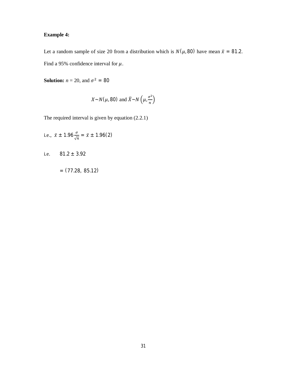# **Example 4:**

Let a random sample of size 20 from a distribution which is  $N(\mu, 80)$  have mean  $\bar{x} = 81.2$ . Find a 95% confidence interval for  $\mu$ .

**Solution:**  $n = 20$ , and  $\sigma^2 = 80$ 

$$
X \sim N(\mu, 80) \text{ and } \overline{X} \sim N\left(\mu, \frac{\sigma^2}{n}\right)
$$

The required interval is given by equation (2.2.1)

i.e., 
$$
\bar{x} \pm 1.96 \frac{\sigma}{\sqrt{n}} = \bar{x} \pm 1.96(2)
$$

i.e.  $81.2 \pm 3.92$ 

$$
= (77.28, 85.12)
$$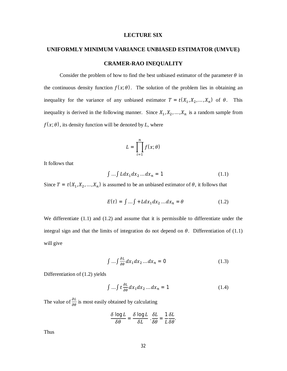#### **LECTURE SIX**

# **UNIFORMLY MINIMUM VARIANCE UNBIASED ESTIMATOR (UMVUE)**

#### **CRAMER-RAO INEQUALITY**

Consider the problem of how to find the best unbiased estimator of the parameter  $\theta$  in the continuous density function  $f(x; \theta)$ . The solution of the problem lies in obtaining an inequality for the variance of any unbiased estimator  $T = t(X_1, X_2, ..., X_n)$  of  $\theta$ . This inequality is derived in the following manner. Since  $X_1, X_2, \ldots, X_n$  is a random sample from  $f(x; \theta)$ , its density function will be denoted by *L*, where

$$
L = \prod_{i=1}^n f(x; \theta)
$$

It follows that

$$
\int \dots \int L dx_1 dx_2 \dots dx_n = 1 \tag{1.1}
$$

Since  $T = t(X_1, X_2, ..., X_n)$  is assumed to be an unbiased estimator of  $\theta$ , it follows that

$$
E(t) = \int \dots \int +L dx_1 dx_2 \dots dx_n = \theta \tag{1.2}
$$

We differentiate (1.1) and (1.2) and assume that it is permissible to differentiate under the integral sign and that the limits of integration do not depend on  $\theta$ . Differentiation of (1.1) will give

$$
\int \dots \int \frac{\partial L}{\partial \theta} dx_1 dx_2 \dots dx_n = 0 \tag{1.3}
$$

Differentiation of (1.2) yields

$$
\int \dots \int t \frac{\partial L}{\partial \theta} dx_1 dx_2 \dots dx_n = 1 \tag{1.4}
$$

The value of  $\frac{\partial L}{\partial \theta}$  is most easily obtained by calculating

$$
\frac{\delta \log L}{\delta \theta} = \frac{\delta \log L}{\delta L} \cdot \frac{\delta L}{\delta \theta} = \frac{1}{L} \frac{\delta L}{\delta \theta}.
$$

Thus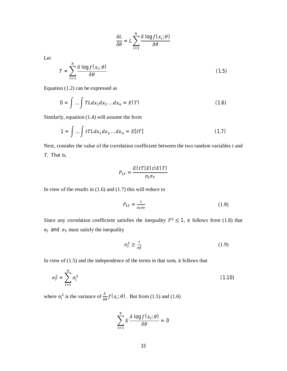$$
\frac{\delta L}{\delta \theta} = L \sum_{i=1}^{h} \frac{\delta \log f(x_i; \theta)}{\delta \theta}
$$

Let

$$
T = \sum_{i=1}^{h} \frac{\delta \log f(x_i; \theta)}{\delta \theta} \tag{1.5}
$$

Equation (1.2) can be expressed as

$$
0 = \int ... \int T L dx_1 dx_2 ... dx_n = E(T)
$$
 (1.6)

Similarly, equation (1.4) will assume the form

$$
1 = \int \dots \int tTL dx_1 dx_2 \dots dx_n = E[tT]
$$
\n(1.7)

Next, consider the value of the correlation coefficient between the two random variables *t* and *T*. That is,

$$
P_{tT} = \frac{E(tT)E(t)E(T)}{\sigma_t \sigma_T}
$$

In view of the results in  $(1.6)$  and  $(1.7)$  this will reduce to

$$
P_{tT} = \frac{1}{\sigma_t \sigma_T} \tag{1.8}
$$

Since any correlation coefficient satisfies the inequality  $P^2 \le 1$ , it follows from (1.8) that  $\sigma_t$  and  $\sigma_T$  must satisfy the inequality

$$
\sigma_t^2 \ge \frac{1}{\sigma_T^2} \tag{1.9}
$$

In view of  $(1.5)$  and the independence of the terms in that sum, it follows that

$$
\sigma_T^2 = \sum_{i=1}^n \sigma_i^2 \tag{1.10}
$$

where  $\sigma_i^2$  is the variance of  $\frac{\delta}{\delta \theta} f(x_i; \theta)$ . But from (1.5) and (1.6)

$$
\sum_{i=1}^{h} E \frac{\delta \log f(x_i; \theta)}{\delta \theta} = 0
$$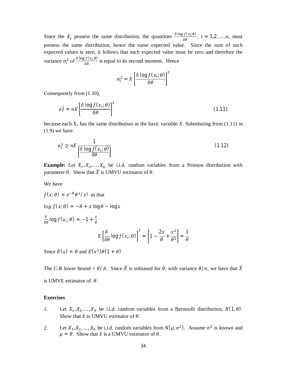Since the  $X_i$  possess the same distribution, the quantities  $\frac{\delta \log f(x_i; \theta)}{\delta \theta}$  $\frac{\partial f(x_i, v)}{\partial \theta}$ ,  $i = 1, 2, ..., n$ , must possess the same distribution, hence the same expected value. Since the sum of such expected values is zero, it follows that each expected value must be zero and therefore the variance  $\sigma_i^2$  of  $\frac{\delta \log f(x_i; \theta)}{\delta \theta}$  is equal to its second moment. Hence

$$
\sigma_i^2 = E \left[ \frac{\delta \log f(x_i; \theta)}{\delta \theta} \right]^2
$$

Consequently from (1.10),

$$
\sigma_T^2 = nE \left[ \frac{\delta \log f(x_i; \theta)}{\delta \theta} \right]^2 \tag{1.11}
$$

because each  $X_i$  has the same distribution as the basic variable *X*. Substituting from (1.11) in  $(1.9)$  we have

$$
\sigma_t^2 \ge nE \frac{1}{\left[\frac{\delta \log f(x_i; \theta)}{\delta \theta}\right]}
$$
(1.12)

**Example:** Let  $X_1, X_2, ..., X_n$  be i.i.d. random variables from a Poisson distribution with parameter  $\theta$ . Show that  $\overline{X}$  is UMVU estimator of  $\theta$ .

We have

$$
f(x; \theta) = e^{-\theta} \theta^x / x!
$$
 so that  
\n
$$
\log f(x; \theta) = -\theta + x \log \theta - \log x
$$
  
\n
$$
\frac{\delta}{\delta \theta} \log f(x_i; \theta) = -1 + \frac{x}{\theta}
$$
  
\n
$$
E\left[\frac{\delta}{\delta \theta} \log f(x_i; \theta)\right]^2 = \left[1 - \frac{2x}{\theta} + \frac{x^2}{\theta^2}\right] = \frac{1}{\theta}
$$

Since  $E(x) = \theta$  and  $E(x^2)\theta(1 + \theta)$ 

The C-R lower bound =  $\theta/A$ . Since  $\overline{X}$  is unbiased for  $\theta$ , with variance  $\theta/n$ , we have that  $\overline{X}$ is UMVE estimator of  $\theta$ .

## **Exercises**

- 1. Let  $X_1, X_2, ..., X_n$  be i.i.d. random variables from a Bernoulli distribution,  $B(1, \theta)$ . Show that  $\bar{x}$  is UMVU estimator of  $\theta$ .
- 2. Let  $X_1, X_2, ..., X_n$  be i.i.d. random variables from  $N(\mu, \sigma^2)$ . Assume  $\sigma^2$  is known and  $\mu = \theta$ . Show that  $\bar{x}$  is a UMVU estimator of  $\theta$ .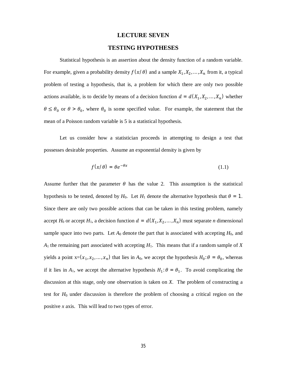#### **LECTURE SEVEN**

#### **TESTING HYPOTHESES**

Statistical hypothesis is an assertion about the density function of a random variable. For example, given a probability density  $f(x/\theta)$  and a sample  $X_1, X_2, \ldots, X_n$  from it, a typical problem of testing a hypothesis, that is, a problem for which there are only two possible actions available, is to decide by means of a decision function  $d = d(X_1, X_2, ..., X_n)$  whether  $\theta \le \theta_0$  or  $\theta > \theta_0$ , where  $\theta_0$  is some specified value. For example, the statement that the mean of a Poisson random variable is 5 is a statistical hypothesis.

Let us consider how a statistician proceeds in attempting to design a test that possesses desirable properties. Assume an exponential density is given by

$$
f(x/\theta) = \theta e^{-\theta x} \tag{1.1}
$$

Assume further that the parameter  $\theta$  has the value 2. This assumption is the statistical hypothesis to be tested, denoted by  $H_0$ . Let  $H_1$  denote the alternative hypothesis that  $\theta = 1$ . Since there are only two possible actions that can be taken in this testing problem, namely accept *H*<sub>0</sub> or accept *H*<sub>1</sub>, a decision function  $d = d(X_1, X_2, ..., X_n)$  must separate *n* dimensional sample space into two parts. Let  $A_0$  denote the part that is associated with accepting  $H_0$ , and  $A_1$  the remaining part associated with accepting  $H_1$ . This means that if a random sample of *X* yields a point  $x = (x_1, x_2, ..., x_n)$  that lies in  $A_0$ , we accept the hypothesis  $H_0: \theta = \theta_0$ , whereas if it lies in  $A_1$ , we accept the alternative hypothesis  $H_1: \theta = \theta_1$ . To avoid complicating the discussion at this stage, only one observation is taken on *X*. The problem of constructing a test for *H*<sup>0</sup> under discussion is therefore the problem of choosing a critical region on the positive *x* axis. This will lead to two types of error.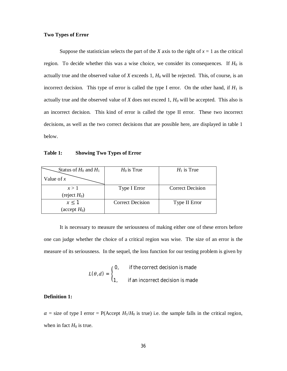#### **Two Types of Error**

Suppose the statistician selects the part of the *X* axis to the right of  $x = 1$  as the critical region. To decide whether this was a wise choice, we consider its consequences. If  $H_0$  is actually true and the observed value of  $X$  exceeds 1,  $H_0$  will be rejected. This, of course, is an incorrect decision. This type of error is called the type I error. On the other hand, if  $H_1$  is actually true and the observed value of *X* does not exceed 1, *H<sup>0</sup>* will be accepted. This also is an incorrect decision. This kind of error is called the type II error. These two incorrect decisions, as well as the two correct decisions that are possible here, are displayed in table 1 below.

#### **Table 1: Showing Two Types of Error**

| Status of $H_0$ and $H_1$ | $H_0$ is True           | $H_1$ is True    |
|---------------------------|-------------------------|------------------|
| Value of $x$              |                         |                  |
| x > 1                     | Type I Error            | Correct Decision |
| (reject $H_0$ )           |                         |                  |
| $x \leq 1$                | <b>Correct Decision</b> | Type II Error    |
| (accept $H_0$ )           |                         |                  |

It is necessary to measure the seriousness of making either one of these errors before one can judge whether the choice of a critical region was wise. The size of an error is the measure of its seriousness. In the sequel, the loss function for our testing problem is given by

$$
L(\theta, d) = \begin{cases} 0, & \text{if the correct decision is made} \\ 1, & \text{if an incorrect decision is made} \end{cases}
$$

# **Definition 1:**

 $\alpha$  = size of type I error = P(Accept *H*<sub>1</sub>/*H*<sub>0</sub> is true) i.e. the sample falls in the critical region, when in fact  $H_0$  is true.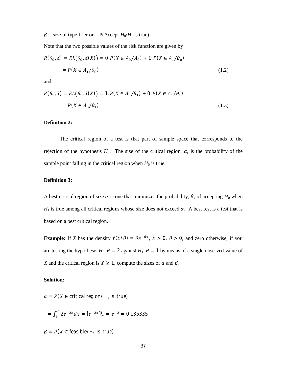$\beta$  = size of type II error = P(Accept *H*<sub>0</sub>/*H*<sub>1</sub> is true)

Note that the two possible values of the risk function are given by

$$
R(\theta_0, d) = EL(\theta_0, d(X)) = 0.P(X \in A_0/A_0) + 1.P(X \in A_1/\theta_0)
$$
  
=  $P(X \in A_1/\theta_0)$  (1.2)

and

$$
R(\theta_1, d) = EL(\theta_1, d(X)) = 1. P(X \in A_0 / \theta_1) + 0. P(X \in A_1 / \theta_1)
$$
  
=  $P(X \in A_0 / \theta_1)$  (1.3)

## **Definition 2:**

The critical region of a test is that part of sample space that corresponds to the rejection of the hypothesis  $H_0$ . The size of the critical region,  $\alpha$ , is the probability of the sample point falling in the critical region when  $H_0$  is true.

## **Definition 3:**

A best critical region of size  $\alpha$  is one that minimizes the probability,  $\beta$ , of accepting  $H_0$  when  $H_1$  is true among all critical regions whose size does not exceed  $\alpha$ . A best test is a test that is based on a best critical region.

**Example:** If *X* has the density  $f(x/\theta) = \theta e^{-\theta x}$ ,  $x > 0$ ,  $\theta > 0$ , and zero otherwise, if you are testing the hypothesis  $H_0$ :  $\theta = 2$  against  $H_1$ :  $\theta = 1$  by means of a single observed value of *X* and the critical region is  $X \geq 1$ , compute the sizes of  $\alpha$  and  $\beta$ .

#### **Solution:**

 $\alpha = P(X \in \text{critical region}/H_0 \text{ is true})$ 

$$
= \int_1^\infty 2e^{-2x} dx = [e^{-2x}]_\infty^1 = e^{-2} = 0.135335
$$

 $\beta = P(X \in \text{feasible}/H_1 \text{ is true})$